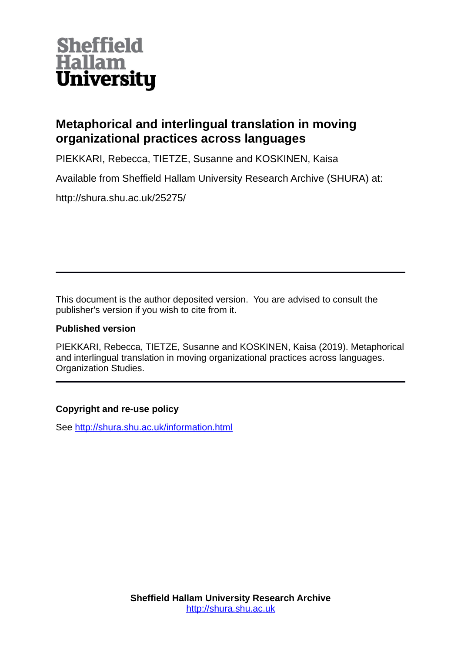

## **Metaphorical and interlingual translation in moving organizational practices across languages**

PIEKKARI, Rebecca, TIETZE, Susanne and KOSKINEN, Kaisa

Available from Sheffield Hallam University Research Archive (SHURA) at:

http://shura.shu.ac.uk/25275/

This document is the author deposited version. You are advised to consult the publisher's version if you wish to cite from it.

## **Published version**

PIEKKARI, Rebecca, TIETZE, Susanne and KOSKINEN, Kaisa (2019). Metaphorical and interlingual translation in moving organizational practices across languages. Organization Studies.

## **Copyright and re-use policy**

See<http://shura.shu.ac.uk/information.html>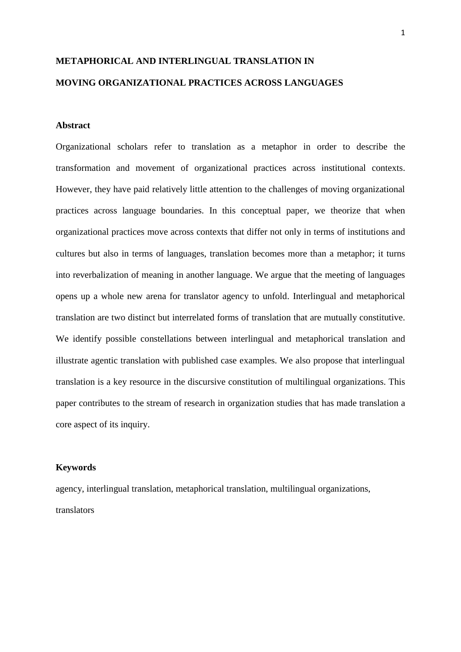# **METAPHORICAL AND INTERLINGUAL TRANSLATION IN MOVING ORGANIZATIONAL PRACTICES ACROSS LANGUAGES**

## **Abstract**

Organizational scholars refer to translation as a metaphor in order to describe the transformation and movement of organizational practices across institutional contexts. However, they have paid relatively little attention to the challenges of moving organizational practices across language boundaries. In this conceptual paper, we theorize that when organizational practices move across contexts that differ not only in terms of institutions and cultures but also in terms of languages, translation becomes more than a metaphor; it turns into reverbalization of meaning in another language. We argue that the meeting of languages opens up a whole new arena for translator agency to unfold. Interlingual and metaphorical translation are two distinct but interrelated forms of translation that are mutually constitutive. We identify possible constellations between interlingual and metaphorical translation and illustrate agentic translation with published case examples. We also propose that interlingual translation is a key resource in the discursive constitution of multilingual organizations. This paper contributes to the stream of research in organization studies that has made translation a core aspect of its inquiry.

### **Keywords**

agency, interlingual translation, metaphorical translation, multilingual organizations, translators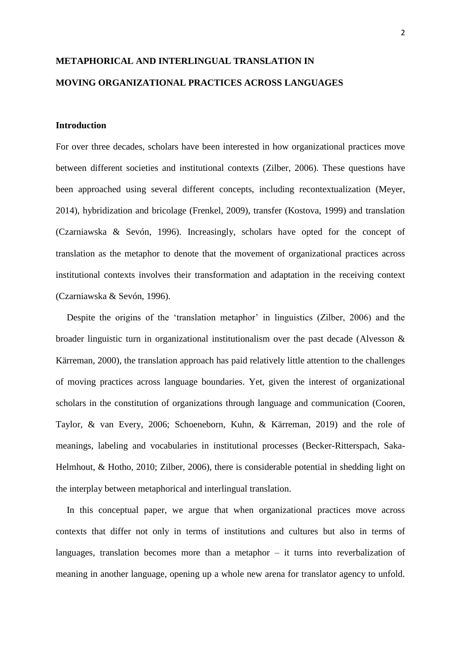## **METAPHORICAL AND INTERLINGUAL TRANSLATION IN MOVING ORGANIZATIONAL PRACTICES ACROSS LANGUAGES**

## **Introduction**

For over three decades, scholars have been interested in how organizational practices move between different societies and institutional contexts (Zilber, 2006). These questions have been approached using several different concepts, including recontextualization (Meyer, 2014), hybridization and bricolage (Frenkel, 2009), transfer (Kostova, 1999) and translation (Czarniawska & Sevón, 1996). Increasingly, scholars have opted for the concept of translation as the metaphor to denote that the movement of organizational practices across institutional contexts involves their transformation and adaptation in the receiving context (Czarniawska & Sevón, 1996).

Despite the origins of the 'translation metaphor' in linguistics (Zilber, 2006) and the broader linguistic turn in organizational institutionalism over the past decade (Alvesson & Kärreman, 2000), the translation approach has paid relatively little attention to the challenges of moving practices across language boundaries. Yet, given the interest of organizational scholars in the constitution of organizations through language and communication (Cooren, Taylor, & van Every, 2006; Schoeneborn, Kuhn, & Kärreman, 2019) and the role of meanings, labeling and vocabularies in institutional processes (Becker-Ritterspach, Saka-Helmhout, & Hotho, 2010; Zilber, 2006), there is considerable potential in shedding light on the interplay between metaphorical and interlingual translation.

In this conceptual paper, we argue that when organizational practices move across contexts that differ not only in terms of institutions and cultures but also in terms of languages, translation becomes more than a metaphor – it turns into reverbalization of meaning in another language, opening up a whole new arena for translator agency to unfold.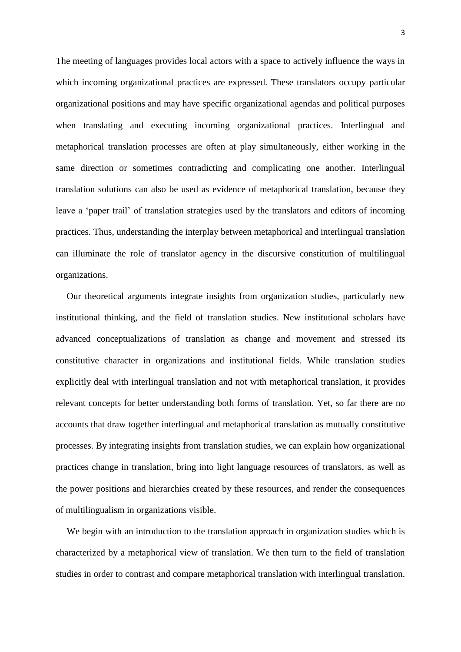The meeting of languages provides local actors with a space to actively influence the ways in which incoming organizational practices are expressed. These translators occupy particular organizational positions and may have specific organizational agendas and political purposes when translating and executing incoming organizational practices. Interlingual and metaphorical translation processes are often at play simultaneously, either working in the same direction or sometimes contradicting and complicating one another. Interlingual translation solutions can also be used as evidence of metaphorical translation, because they leave a 'paper trail' of translation strategies used by the translators and editors of incoming practices. Thus, understanding the interplay between metaphorical and interlingual translation can illuminate the role of translator agency in the discursive constitution of multilingual organizations.

Our theoretical arguments integrate insights from organization studies, particularly new institutional thinking, and the field of translation studies. New institutional scholars have advanced conceptualizations of translation as change and movement and stressed its constitutive character in organizations and institutional fields. While translation studies explicitly deal with interlingual translation and not with metaphorical translation, it provides relevant concepts for better understanding both forms of translation. Yet, so far there are no accounts that draw together interlingual and metaphorical translation as mutually constitutive processes. By integrating insights from translation studies, we can explain how organizational practices change in translation, bring into light language resources of translators, as well as the power positions and hierarchies created by these resources, and render the consequences of multilingualism in organizations visible.

We begin with an introduction to the translation approach in organization studies which is characterized by a metaphorical view of translation. We then turn to the field of translation studies in order to contrast and compare metaphorical translation with interlingual translation.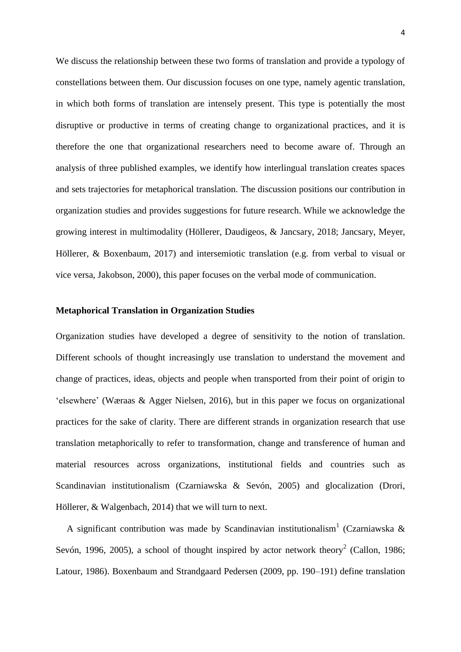We discuss the relationship between these two forms of translation and provide a typology of constellations between them. Our discussion focuses on one type, namely agentic translation, in which both forms of translation are intensely present. This type is potentially the most disruptive or productive in terms of creating change to organizational practices, and it is therefore the one that organizational researchers need to become aware of. Through an analysis of three published examples, we identify how interlingual translation creates spaces and sets trajectories for metaphorical translation. The discussion positions our contribution in organization studies and provides suggestions for future research. While we acknowledge the growing interest in multimodality (Höllerer, Daudigeos, & Jancsary, 2018; Jancsary, Meyer, Höllerer, & Boxenbaum, 2017) and intersemiotic translation (e.g. from verbal to visual or vice versa, Jakobson, 2000), this paper focuses on the verbal mode of communication.

### **Metaphorical Translation in Organization Studies**

Organization studies have developed a degree of sensitivity to the notion of translation. Different schools of thought increasingly use translation to understand the movement and change of practices, ideas, objects and people when transported from their point of origin to 'elsewhere' (Wæraas & Agger Nielsen, 2016), but in this paper we focus on organizational practices for the sake of clarity. There are different strands in organization research that use translation metaphorically to refer to transformation, change and transference of human and material resources across organizations, institutional fields and countries such as Scandinavian institutionalism (Czarniawska & Sevón, 2005) and glocalization (Drori, Höllerer, & Walgenbach, 2014) that we will turn to next.

A significant contribution was made by Scandinavian institutionalism<sup>1</sup> (Czarniawska & Sevón, 1996, 2005), a school of thought inspired by actor network theory<sup>2</sup> (Callon, 1986; Latour, 1986). Boxenbaum and Strandgaard Pedersen (2009, pp. 190–191) define translation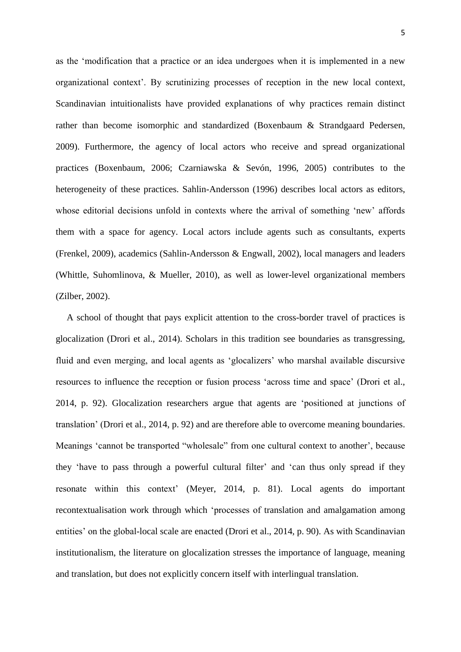as the 'modification that a practice or an idea undergoes when it is implemented in a new organizational context'. By scrutinizing processes of reception in the new local context, Scandinavian intuitionalists have provided explanations of why practices remain distinct rather than become isomorphic and standardized (Boxenbaum & Strandgaard Pedersen, 2009). Furthermore, the agency of local actors who receive and spread organizational practices (Boxenbaum, 2006; Czarniawska & Sevón, 1996, 2005) contributes to the heterogeneity of these practices. Sahlin-Andersson (1996) describes local actors as editors, whose editorial decisions unfold in contexts where the arrival of something 'new' affords them with a space for agency. Local actors include agents such as consultants, experts (Frenkel, 2009), academics (Sahlin-Andersson & Engwall, 2002), local managers and leaders (Whittle, Suhomlinova, & Mueller, 2010), as well as lower-level organizational members (Zilber, 2002).

A school of thought that pays explicit attention to the cross-border travel of practices is glocalization (Drori et al., 2014). Scholars in this tradition see boundaries as transgressing, fluid and even merging, and local agents as 'glocalizers' who marshal available discursive resources to influence the reception or fusion process 'across time and space' (Drori et al., 2014, p. 92). Glocalization researchers argue that agents are 'positioned at junctions of translation' (Drori et al., 2014, p. 92) and are therefore able to overcome meaning boundaries. Meanings 'cannot be transported "wholesale" from one cultural context to another', because they 'have to pass through a powerful cultural filter' and 'can thus only spread if they resonate within this context' (Meyer, 2014, p. 81). Local agents do important recontextualisation work through which 'processes of translation and amalgamation among entities' on the global-local scale are enacted (Drori et al., 2014, p. 90). As with Scandinavian institutionalism, the literature on glocalization stresses the importance of language, meaning and translation, but does not explicitly concern itself with interlingual translation.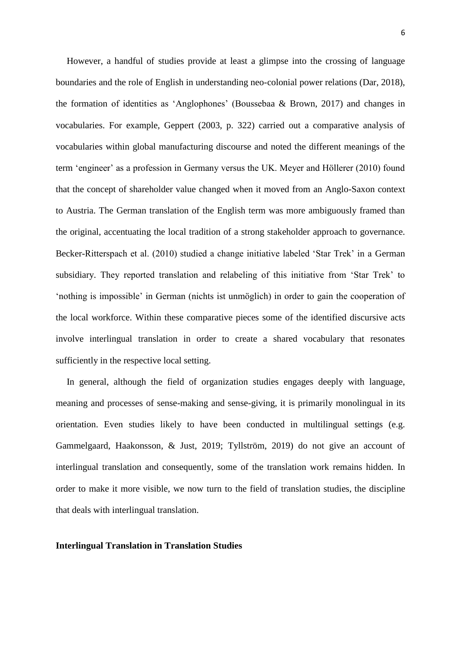However, a handful of studies provide at least a glimpse into the crossing of language boundaries and the role of English in understanding neo-colonial power relations (Dar, 2018), the formation of identities as 'Anglophones' (Boussebaa & Brown, 2017) and changes in vocabularies. For example, Geppert (2003, p. 322) carried out a comparative analysis of vocabularies within global manufacturing discourse and noted the different meanings of the term 'engineer' as a profession in Germany versus the UK. Meyer and Höllerer (2010) found that the concept of shareholder value changed when it moved from an Anglo-Saxon context to Austria. The German translation of the English term was more ambiguously framed than the original, accentuating the local tradition of a strong stakeholder approach to governance. Becker-Ritterspach et al. (2010) studied a change initiative labeled 'Star Trek' in a German subsidiary. They reported translation and relabeling of this initiative from 'Star Trek' to 'nothing is impossible' in German (nichts ist unmöglich) in order to gain the cooperation of the local workforce. Within these comparative pieces some of the identified discursive acts involve interlingual translation in order to create a shared vocabulary that resonates sufficiently in the respective local setting.

In general, although the field of organization studies engages deeply with language, meaning and processes of sense-making and sense-giving, it is primarily monolingual in its orientation. Even studies likely to have been conducted in multilingual settings (e.g. Gammelgaard, Haakonsson, & Just, 2019; Tyllström, 2019) do not give an account of interlingual translation and consequently, some of the translation work remains hidden. In order to make it more visible, we now turn to the field of translation studies, the discipline that deals with interlingual translation.

#### **Interlingual Translation in Translation Studies**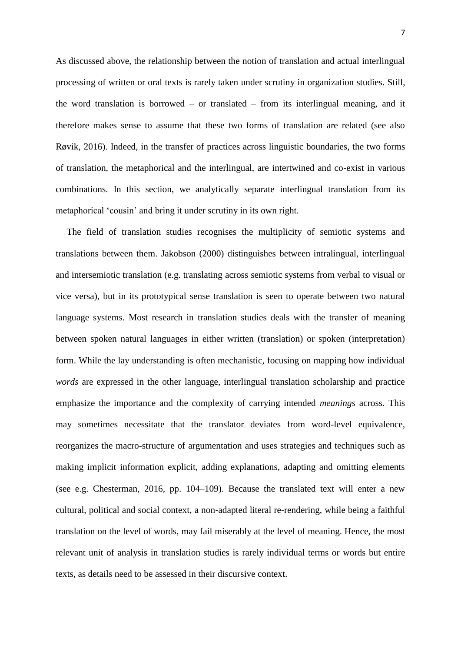As discussed above, the relationship between the notion of translation and actual interlingual processing of written or oral texts is rarely taken under scrutiny in organization studies. Still, the word translation is borrowed – or translated – from its interlingual meaning, and it therefore makes sense to assume that these two forms of translation are related (see also Røvik, 2016). Indeed, in the transfer of practices across linguistic boundaries, the two forms of translation, the metaphorical and the interlingual, are intertwined and co-exist in various combinations. In this section, we analytically separate interlingual translation from its metaphorical 'cousin' and bring it under scrutiny in its own right.

The field of translation studies recognises the multiplicity of semiotic systems and translations between them. Jakobson (2000) distinguishes between intralingual, interlingual and intersemiotic translation (e.g. translating across semiotic systems from verbal to visual or vice versa), but in its prototypical sense translation is seen to operate between two natural language systems. Most research in translation studies deals with the transfer of meaning between spoken natural languages in either written (translation) or spoken (interpretation) form. While the lay understanding is often mechanistic, focusing on mapping how individual *words* are expressed in the other language, interlingual translation scholarship and practice emphasize the importance and the complexity of carrying intended *meanings* across. This may sometimes necessitate that the translator deviates from word-level equivalence, reorganizes the macro-structure of argumentation and uses strategies and techniques such as making implicit information explicit, adding explanations, adapting and omitting elements (see e.g. Chesterman, 2016, pp. 104–109). Because the translated text will enter a new cultural, political and social context, a non-adapted literal re-rendering, while being a faithful translation on the level of words, may fail miserably at the level of meaning. Hence, the most relevant unit of analysis in translation studies is rarely individual terms or words but entire texts, as details need to be assessed in their discursive context.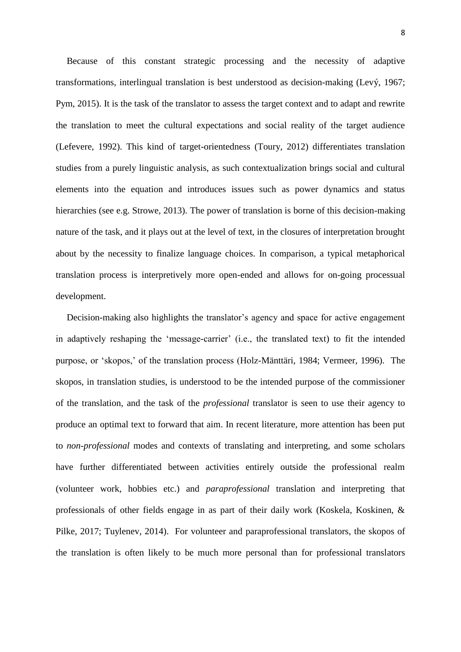Because of this constant strategic processing and the necessity of adaptive transformations, interlingual translation is best understood as decision-making (Levý, 1967; Pym, 2015). It is the task of the translator to assess the target context and to adapt and rewrite the translation to meet the cultural expectations and social reality of the target audience (Lefevere, 1992). This kind of target-orientedness (Toury, 2012) differentiates translation studies from a purely linguistic analysis, as such contextualization brings social and cultural elements into the equation and introduces issues such as power dynamics and status hierarchies (see e.g. Strowe, 2013). The power of translation is borne of this decision-making nature of the task, and it plays out at the level of text, in the closures of interpretation brought about by the necessity to finalize language choices. In comparison, a typical metaphorical translation process is interpretively more open-ended and allows for on-going processual development.

Decision-making also highlights the translator's agency and space for active engagement in adaptively reshaping the 'message-carrier' (i.e., the translated text) to fit the intended purpose, or 'skopos,' of the translation process (Holz-Mänttäri, 1984; Vermeer, 1996). The skopos, in translation studies, is understood to be the intended purpose of the commissioner of the translation, and the task of the *professional* translator is seen to use their agency to produce an optimal text to forward that aim. In recent literature, more attention has been put to *non-professional* modes and contexts of translating and interpreting, and some scholars have further differentiated between activities entirely outside the professional realm (volunteer work, hobbies etc.) and *paraprofessional* translation and interpreting that professionals of other fields engage in as part of their daily work (Koskela, Koskinen, & Pilke, 2017; Tuylenev, 2014). For volunteer and paraprofessional translators, the skopos of the translation is often likely to be much more personal than for professional translators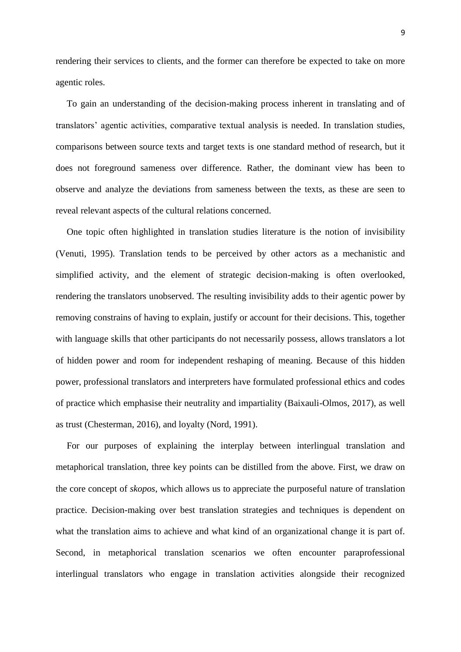rendering their services to clients, and the former can therefore be expected to take on more agentic roles.

To gain an understanding of the decision-making process inherent in translating and of translators' agentic activities, comparative textual analysis is needed. In translation studies, comparisons between source texts and target texts is one standard method of research, but it does not foreground sameness over difference. Rather, the dominant view has been to observe and analyze the deviations from sameness between the texts, as these are seen to reveal relevant aspects of the cultural relations concerned.

One topic often highlighted in translation studies literature is the notion of invisibility (Venuti, 1995). Translation tends to be perceived by other actors as a mechanistic and simplified activity, and the element of strategic decision-making is often overlooked, rendering the translators unobserved. The resulting invisibility adds to their agentic power by removing constrains of having to explain, justify or account for their decisions. This, together with language skills that other participants do not necessarily possess, allows translators a lot of hidden power and room for independent reshaping of meaning. Because of this hidden power, professional translators and interpreters have formulated professional ethics and codes of practice which emphasise their neutrality and impartiality (Baixauli-Olmos, 2017), as well as trust (Chesterman, 2016), and loyalty (Nord, 1991).

For our purposes of explaining the interplay between interlingual translation and metaphorical translation, three key points can be distilled from the above. First, we draw on the core concept of *skopos*, which allows us to appreciate the purposeful nature of translation practice. Decision-making over best translation strategies and techniques is dependent on what the translation aims to achieve and what kind of an organizational change it is part of. Second, in metaphorical translation scenarios we often encounter paraprofessional interlingual translators who engage in translation activities alongside their recognized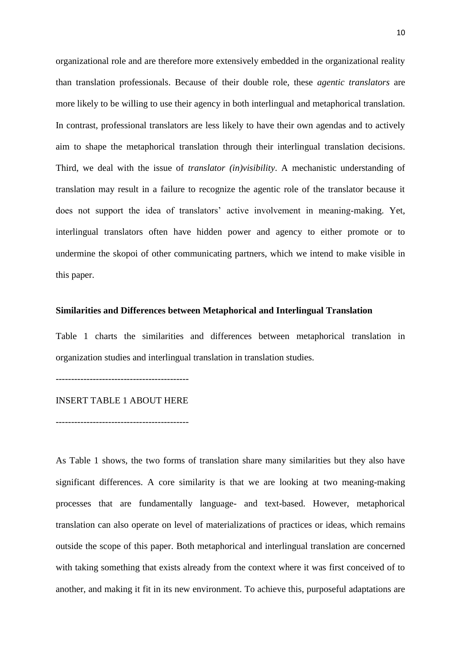organizational role and are therefore more extensively embedded in the organizational reality than translation professionals. Because of their double role, these *agentic translators* are more likely to be willing to use their agency in both interlingual and metaphorical translation. In contrast, professional translators are less likely to have their own agendas and to actively aim to shape the metaphorical translation through their interlingual translation decisions. Third, we deal with the issue of *translator (in)visibility*. A mechanistic understanding of translation may result in a failure to recognize the agentic role of the translator because it does not support the idea of translators' active involvement in meaning-making. Yet, interlingual translators often have hidden power and agency to either promote or to undermine the skopoi of other communicating partners, which we intend to make visible in this paper.

### **Similarities and Differences between Metaphorical and Interlingual Translation**

Table 1 charts the similarities and differences between metaphorical translation in organization studies and interlingual translation in translation studies.

-------------------------------------------

#### INSERT TABLE 1 ABOUT HERE

-------------------------------------------

As Table 1 shows, the two forms of translation share many similarities but they also have significant differences. A core similarity is that we are looking at two meaning-making processes that are fundamentally language- and text-based. However, metaphorical translation can also operate on level of materializations of practices or ideas, which remains outside the scope of this paper. Both metaphorical and interlingual translation are concerned with taking something that exists already from the context where it was first conceived of to another, and making it fit in its new environment. To achieve this, purposeful adaptations are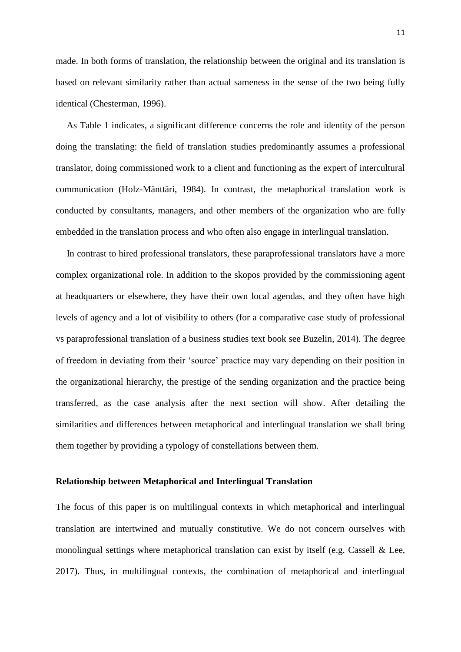made. In both forms of translation, the relationship between the original and its translation is based on relevant similarity rather than actual sameness in the sense of the two being fully identical (Chesterman, 1996).

As Table 1 indicates, a significant difference concerns the role and identity of the person doing the translating: the field of translation studies predominantly assumes a professional translator, doing commissioned work to a client and functioning as the expert of intercultural communication (Holz-Mänttäri, 1984). In contrast, the metaphorical translation work is conducted by consultants, managers, and other members of the organization who are fully embedded in the translation process and who often also engage in interlingual translation.

In contrast to hired professional translators, these paraprofessional translators have a more complex organizational role. In addition to the skopos provided by the commissioning agent at headquarters or elsewhere, they have their own local agendas, and they often have high levels of agency and a lot of visibility to others (for a comparative case study of professional vs paraprofessional translation of a business studies text book see Buzelin, 2014). The degree of freedom in deviating from their 'source' practice may vary depending on their position in the organizational hierarchy, the prestige of the sending organization and the practice being transferred, as the case analysis after the next section will show. After detailing the similarities and differences between metaphorical and interlingual translation we shall bring them together by providing a typology of constellations between them.

## **Relationship between Metaphorical and Interlingual Translation**

The focus of this paper is on multilingual contexts in which metaphorical and interlingual translation are intertwined and mutually constitutive. We do not concern ourselves with monolingual settings where metaphorical translation can exist by itself (e.g. Cassell & Lee, 2017). Thus, in multilingual contexts, the combination of metaphorical and interlingual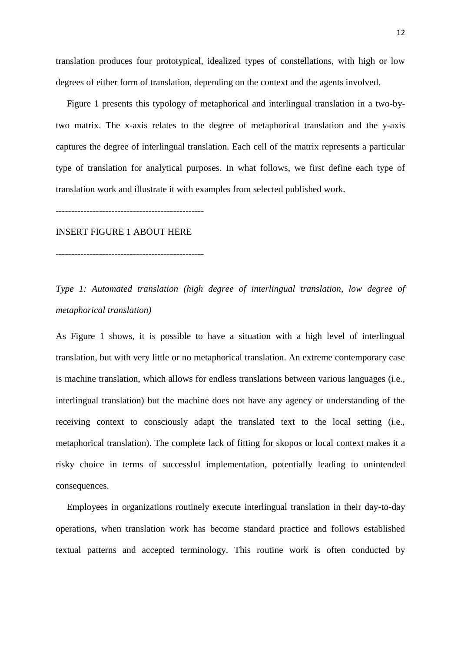translation produces four prototypical, idealized types of constellations, with high or low degrees of either form of translation, depending on the context and the agents involved.

Figure 1 presents this typology of metaphorical and interlingual translation in a two-bytwo matrix. The x-axis relates to the degree of metaphorical translation and the y-axis captures the degree of interlingual translation. Each cell of the matrix represents a particular type of translation for analytical purposes. In what follows, we first define each type of translation work and illustrate it with examples from selected published work.

------------------------------------------------

#### INSERT FIGURE 1 ABOUT HERE

------------------------------------------------

*Type 1: Automated translation (high degree of interlingual translation, low degree of metaphorical translation)* 

As Figure 1 shows, it is possible to have a situation with a high level of interlingual translation, but with very little or no metaphorical translation. An extreme contemporary case is machine translation, which allows for endless translations between various languages (i.e., interlingual translation) but the machine does not have any agency or understanding of the receiving context to consciously adapt the translated text to the local setting (i.e., metaphorical translation). The complete lack of fitting for skopos or local context makes it a risky choice in terms of successful implementation, potentially leading to unintended consequences.

Employees in organizations routinely execute interlingual translation in their day-to-day operations, when translation work has become standard practice and follows established textual patterns and accepted terminology. This routine work is often conducted by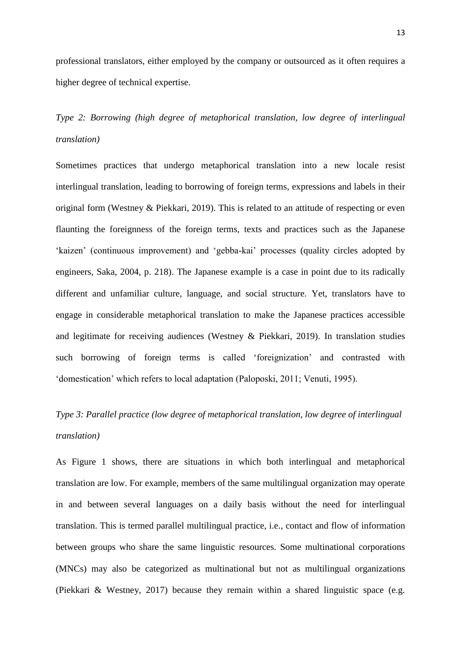professional translators, either employed by the company or outsourced as it often requires a higher degree of technical expertise.

*Type 2: Borrowing (high degree of metaphorical translation, low degree of interlingual translation)* 

Sometimes practices that undergo metaphorical translation into a new locale resist interlingual translation, leading to borrowing of foreign terms, expressions and labels in their original form (Westney & Piekkari, 2019). This is related to an attitude of respecting or even flaunting the foreignness of the foreign terms, texts and practices such as the Japanese 'kaizen' (continuous improvement) and 'gebba-kai' processes (quality circles adopted by engineers, Saka, 2004, p. 218). The Japanese example is a case in point due to its radically different and unfamiliar culture, language, and social structure. Yet, translators have to engage in considerable metaphorical translation to make the Japanese practices accessible and legitimate for receiving audiences (Westney & Piekkari, 2019). In translation studies such borrowing of foreign terms is called 'foreignization' and contrasted with 'domestication' which refers to local adaptation (Paloposki, 2011; Venuti, 1995).

# *Type 3: Parallel practice (low degree of metaphorical translation, low degree of interlingual translation)*

As Figure 1 shows, there are situations in which both interlingual and metaphorical translation are low. For example, members of the same multilingual organization may operate in and between several languages on a daily basis without the need for interlingual translation. This is termed parallel multilingual practice, i.e., contact and flow of information between groups who share the same linguistic resources. Some multinational corporations (MNCs) may also be categorized as multinational but not as multilingual organizations (Piekkari & Westney, 2017) because they remain within a shared linguistic space (e.g.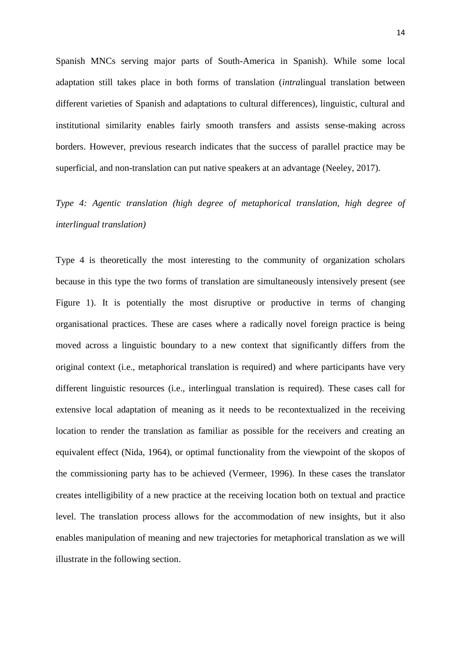Spanish MNCs serving major parts of South-America in Spanish). While some local adaptation still takes place in both forms of translation (*intra*lingual translation between different varieties of Spanish and adaptations to cultural differences), linguistic, cultural and institutional similarity enables fairly smooth transfers and assists sense-making across borders. However, previous research indicates that the success of parallel practice may be superficial, and non-translation can put native speakers at an advantage (Neeley, 2017).

## *Type 4: Agentic translation (high degree of metaphorical translation, high degree of interlingual translation)*

Type 4 is theoretically the most interesting to the community of organization scholars because in this type the two forms of translation are simultaneously intensively present (see Figure 1). It is potentially the most disruptive or productive in terms of changing organisational practices. These are cases where a radically novel foreign practice is being moved across a linguistic boundary to a new context that significantly differs from the original context (i.e., metaphorical translation is required) and where participants have very different linguistic resources (i.e., interlingual translation is required). These cases call for extensive local adaptation of meaning as it needs to be recontextualized in the receiving location to render the translation as familiar as possible for the receivers and creating an equivalent effect (Nida, 1964), or optimal functionality from the viewpoint of the skopos of the commissioning party has to be achieved (Vermeer, 1996). In these cases the translator creates intelligibility of a new practice at the receiving location both on textual and practice level. The translation process allows for the accommodation of new insights, but it also enables manipulation of meaning and new trajectories for metaphorical translation as we will illustrate in the following section.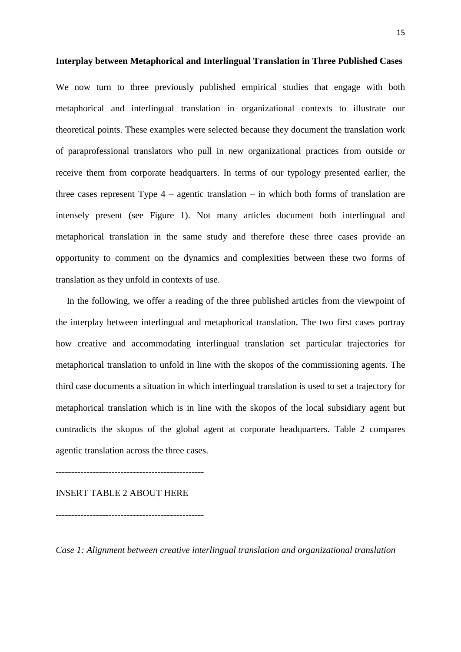### **Interplay between Metaphorical and Interlingual Translation in Three Published Cases**

We now turn to three previously published empirical studies that engage with both metaphorical and interlingual translation in organizational contexts to illustrate our theoretical points. These examples were selected because they document the translation work of paraprofessional translators who pull in new organizational practices from outside or receive them from corporate headquarters. In terms of our typology presented earlier, the three cases represent Type  $4$  – agentic translation – in which both forms of translation are intensely present (see Figure 1). Not many articles document both interlingual and metaphorical translation in the same study and therefore these three cases provide an opportunity to comment on the dynamics and complexities between these two forms of translation as they unfold in contexts of use.

In the following, we offer a reading of the three published articles from the viewpoint of the interplay between interlingual and metaphorical translation. The two first cases portray how creative and accommodating interlingual translation set particular trajectories for metaphorical translation to unfold in line with the skopos of the commissioning agents. The third case documents a situation in which interlingual translation is used to set a trajectory for metaphorical translation which is in line with the skopos of the local subsidiary agent but contradicts the skopos of the global agent at corporate headquarters. Table 2 compares agentic translation across the three cases.

------------------------------------------------

------------------------------------------------

INSERT TABLE 2 ABOUT HERE

*Case 1: Alignment between creative interlingual translation and organizational translation*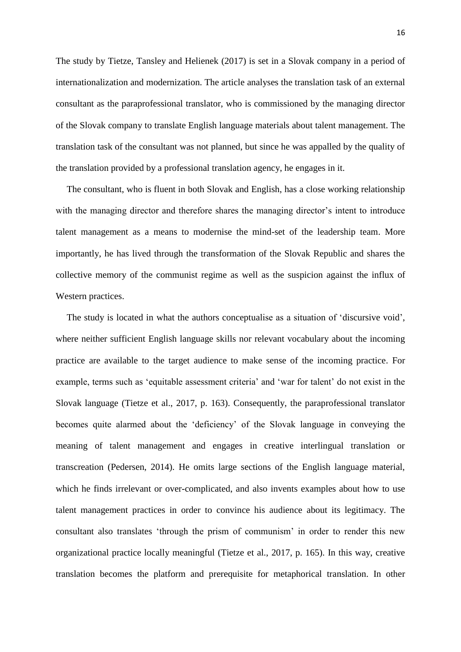The study by Tietze, Tansley and Helienek (2017) is set in a Slovak company in a period of internationalization and modernization. The article analyses the translation task of an external consultant as the paraprofessional translator, who is commissioned by the managing director of the Slovak company to translate English language materials about talent management. The translation task of the consultant was not planned, but since he was appalled by the quality of the translation provided by a professional translation agency, he engages in it.

The consultant, who is fluent in both Slovak and English, has a close working relationship with the managing director and therefore shares the managing director's intent to introduce talent management as a means to modernise the mind-set of the leadership team. More importantly, he has lived through the transformation of the Slovak Republic and shares the collective memory of the communist regime as well as the suspicion against the influx of Western practices.

The study is located in what the authors conceptualise as a situation of 'discursive void', where neither sufficient English language skills nor relevant vocabulary about the incoming practice are available to the target audience to make sense of the incoming practice. For example, terms such as 'equitable assessment criteria' and 'war for talent' do not exist in the Slovak language (Tietze et al., 2017, p. 163). Consequently, the paraprofessional translator becomes quite alarmed about the 'deficiency' of the Slovak language in conveying the meaning of talent management and engages in creative interlingual translation or transcreation (Pedersen, 2014). He omits large sections of the English language material, which he finds irrelevant or over-complicated, and also invents examples about how to use talent management practices in order to convince his audience about its legitimacy. The consultant also translates 'through the prism of communism' in order to render this new organizational practice locally meaningful (Tietze et al., 2017, p. 165). In this way, creative translation becomes the platform and prerequisite for metaphorical translation. In other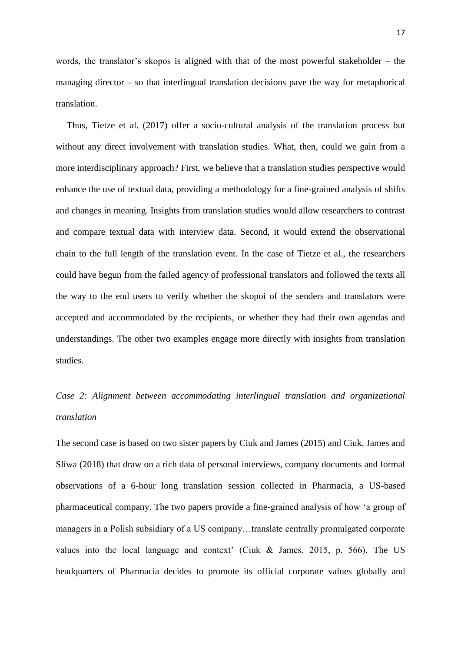words, the translator's skopos is aligned with that of the most powerful stakeholder – the managing director  $-$  so that interlingual translation decisions pave the way for metaphorical translation.

Thus, Tietze et al. (2017) offer a socio-cultural analysis of the translation process but without any direct involvement with translation studies. What, then, could we gain from a more interdisciplinary approach? First, we believe that a translation studies perspective would enhance the use of textual data, providing a methodology for a fine-grained analysis of shifts and changes in meaning. Insights from translation studies would allow researchers to contrast and compare textual data with interview data. Second, it would extend the observational chain to the full length of the translation event. In the case of Tietze et al., the researchers could have begun from the failed agency of professional translators and followed the texts all the way to the end users to verify whether the skopoi of the senders and translators were accepted and accommodated by the recipients, or whether they had their own agendas and understandings. The other two examples engage more directly with insights from translation studies.

# *Case 2: Alignment between accommodating interlingual translation and organizational translation*

The second case is based on two sister papers by Ciuk and James (2015) and Ciuk, James and Slíwa (2018) that draw on a rich data of personal interviews, company documents and formal observations of a 6-hour long translation session collected in Pharmacia, a US-based pharmaceutical company. The two papers provide a fine-grained analysis of how 'a group of managers in a Polish subsidiary of a US company…translate centrally promulgated corporate values into the local language and context' (Ciuk & James, 2015, p. 566). The US headquarters of Pharmacia decides to promote its official corporate values globally and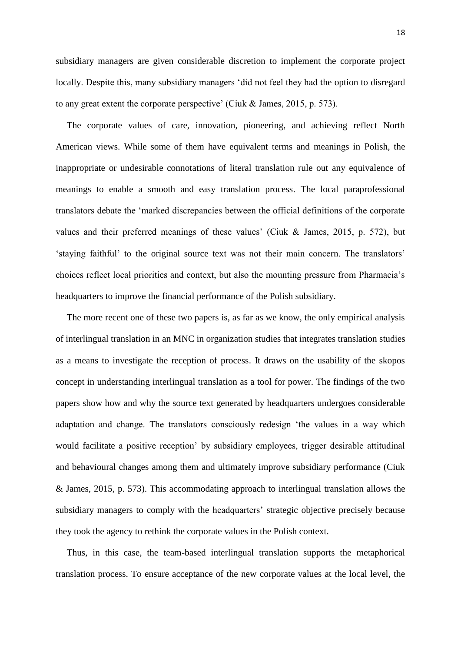subsidiary managers are given considerable discretion to implement the corporate project locally. Despite this, many subsidiary managers 'did not feel they had the option to disregard to any great extent the corporate perspective' (Ciuk & James, 2015, p. 573).

The corporate values of care, innovation, pioneering, and achieving reflect North American views. While some of them have equivalent terms and meanings in Polish, the inappropriate or undesirable connotations of literal translation rule out any equivalence of meanings to enable a smooth and easy translation process. The local paraprofessional translators debate the 'marked discrepancies between the official definitions of the corporate values and their preferred meanings of these values' (Ciuk & James, 2015, p. 572), but 'staying faithful' to the original source text was not their main concern. The translators' choices reflect local priorities and context, but also the mounting pressure from Pharmacia's headquarters to improve the financial performance of the Polish subsidiary.

The more recent one of these two papers is, as far as we know, the only empirical analysis of interlingual translation in an MNC in organization studies that integrates translation studies as a means to investigate the reception of process. It draws on the usability of the skopos concept in understanding interlingual translation as a tool for power. The findings of the two papers show how and why the source text generated by headquarters undergoes considerable adaptation and change. The translators consciously redesign 'the values in a way which would facilitate a positive reception' by subsidiary employees, trigger desirable attitudinal and behavioural changes among them and ultimately improve subsidiary performance (Ciuk & James, 2015, p. 573). This accommodating approach to interlingual translation allows the subsidiary managers to comply with the headquarters' strategic objective precisely because they took the agency to rethink the corporate values in the Polish context.

Thus, in this case, the team-based interlingual translation supports the metaphorical translation process. To ensure acceptance of the new corporate values at the local level, the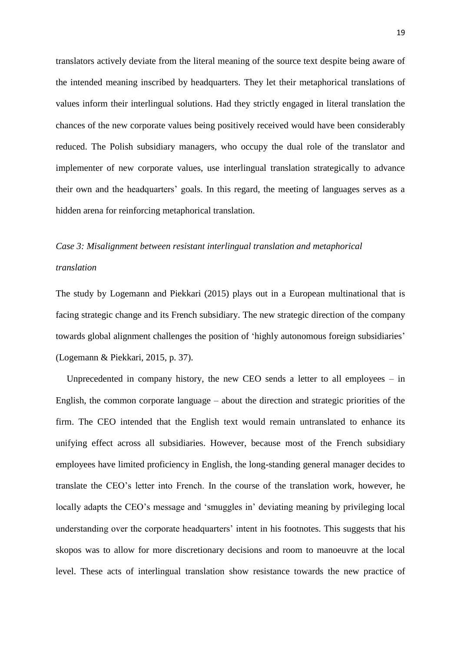translators actively deviate from the literal meaning of the source text despite being aware of the intended meaning inscribed by headquarters. They let their metaphorical translations of values inform their interlingual solutions. Had they strictly engaged in literal translation the chances of the new corporate values being positively received would have been considerably reduced. The Polish subsidiary managers, who occupy the dual role of the translator and implementer of new corporate values, use interlingual translation strategically to advance their own and the headquarters' goals. In this regard, the meeting of languages serves as a hidden arena for reinforcing metaphorical translation.

# *Case 3: Misalignment between resistant interlingual translation and metaphorical translation*

The study by Logemann and Piekkari (2015) plays out in a European multinational that is facing strategic change and its French subsidiary. The new strategic direction of the company towards global alignment challenges the position of 'highly autonomous foreign subsidiaries' (Logemann & Piekkari, 2015, p. 37).

Unprecedented in company history, the new CEO sends a letter to all employees – in English, the common corporate language – about the direction and strategic priorities of the firm. The CEO intended that the English text would remain untranslated to enhance its unifying effect across all subsidiaries. However, because most of the French subsidiary employees have limited proficiency in English, the long-standing general manager decides to translate the CEO's letter into French. In the course of the translation work, however, he locally adapts the CEO's message and 'smuggles in' deviating meaning by privileging local understanding over the corporate headquarters' intent in his footnotes. This suggests that his skopos was to allow for more discretionary decisions and room to manoeuvre at the local level. These acts of interlingual translation show resistance towards the new practice of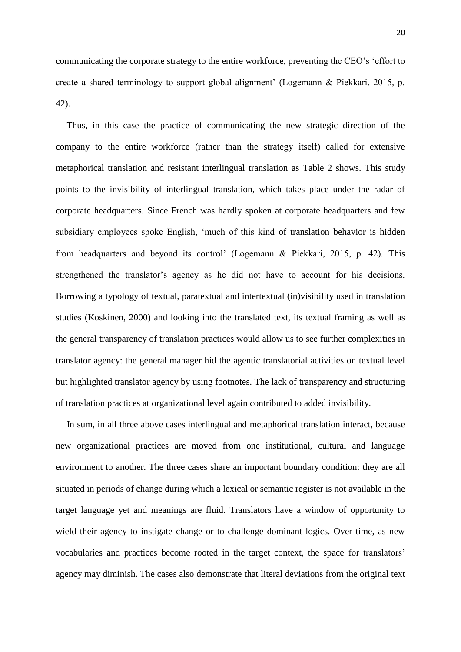20

communicating the corporate strategy to the entire workforce, preventing the CEO's 'effort to create a shared terminology to support global alignment' (Logemann & Piekkari, 2015, p. 42).

Thus, in this case the practice of communicating the new strategic direction of the company to the entire workforce (rather than the strategy itself) called for extensive metaphorical translation and resistant interlingual translation as Table 2 shows. This study points to the invisibility of interlingual translation, which takes place under the radar of corporate headquarters. Since French was hardly spoken at corporate headquarters and few subsidiary employees spoke English, 'much of this kind of translation behavior is hidden from headquarters and beyond its control' (Logemann & Piekkari, 2015, p. 42). This strengthened the translator's agency as he did not have to account for his decisions. Borrowing a typology of textual, paratextual and intertextual (in)visibility used in translation studies (Koskinen, 2000) and looking into the translated text, its textual framing as well as the general transparency of translation practices would allow us to see further complexities in translator agency: the general manager hid the agentic translatorial activities on textual level but highlighted translator agency by using footnotes. The lack of transparency and structuring of translation practices at organizational level again contributed to added invisibility.

In sum, in all three above cases interlingual and metaphorical translation interact, because new organizational practices are moved from one institutional, cultural and language environment to another. The three cases share an important boundary condition: they are all situated in periods of change during which a lexical or semantic register is not available in the target language yet and meanings are fluid. Translators have a window of opportunity to wield their agency to instigate change or to challenge dominant logics. Over time, as new vocabularies and practices become rooted in the target context, the space for translators' agency may diminish. The cases also demonstrate that literal deviations from the original text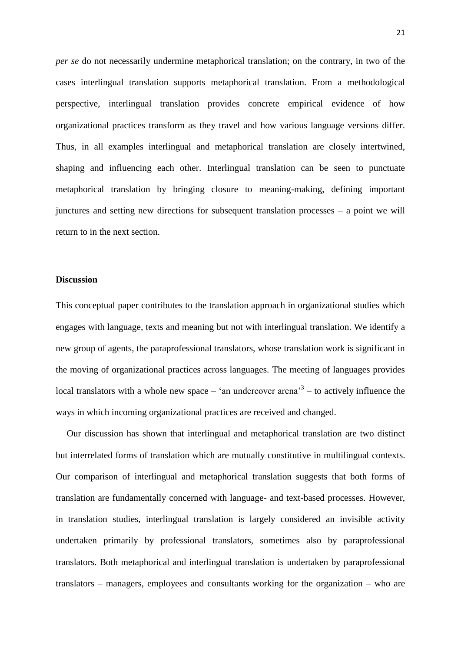*per se* do not necessarily undermine metaphorical translation; on the contrary, in two of the cases interlingual translation supports metaphorical translation. From a methodological perspective, interlingual translation provides concrete empirical evidence of how organizational practices transform as they travel and how various language versions differ. Thus, in all examples interlingual and metaphorical translation are closely intertwined, shaping and influencing each other. Interlingual translation can be seen to punctuate metaphorical translation by bringing closure to meaning-making, defining important junctures and setting new directions for subsequent translation processes – a point we will return to in the next section.

## **Discussion**

This conceptual paper contributes to the translation approach in organizational studies which engages with language, texts and meaning but not with interlingual translation. We identify a new group of agents, the paraprofessional translators, whose translation work is significant in the moving of organizational practices across languages. The meeting of languages provides local translators with a whole new space  $-$  'an undercover arena<sup>3</sup> – to actively influence the ways in which incoming organizational practices are received and changed.

Our discussion has shown that interlingual and metaphorical translation are two distinct but interrelated forms of translation which are mutually constitutive in multilingual contexts. Our comparison of interlingual and metaphorical translation suggests that both forms of translation are fundamentally concerned with language- and text-based processes. However, in translation studies, interlingual translation is largely considered an invisible activity undertaken primarily by professional translators, sometimes also by paraprofessional translators. Both metaphorical and interlingual translation is undertaken by paraprofessional translators – managers, employees and consultants working for the organization – who are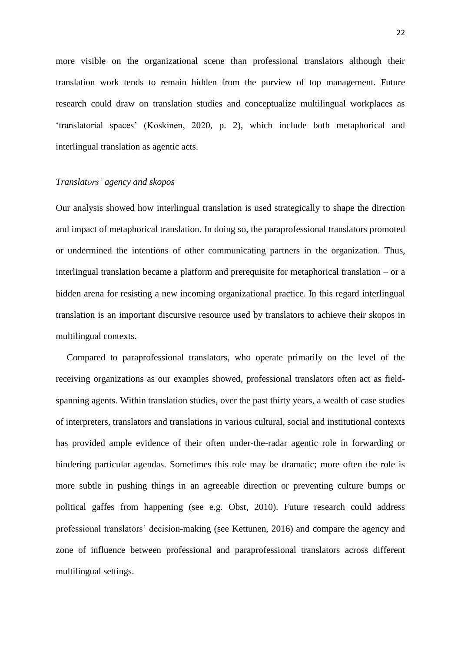more visible on the organizational scene than professional translators although their translation work tends to remain hidden from the purview of top management. Future research could draw on translation studies and conceptualize multilingual workplaces as 'translatorial spaces' (Koskinen, 2020, p. 2), which include both metaphorical and interlingual translation as agentic acts.

### *Translators' agency and skopos*

Our analysis showed how interlingual translation is used strategically to shape the direction and impact of metaphorical translation. In doing so, the paraprofessional translators promoted or undermined the intentions of other communicating partners in the organization. Thus, interlingual translation became a platform and prerequisite for metaphorical translation – or a hidden arena for resisting a new incoming organizational practice. In this regard interlingual translation is an important discursive resource used by translators to achieve their skopos in multilingual contexts.

Compared to paraprofessional translators, who operate primarily on the level of the receiving organizations as our examples showed, professional translators often act as fieldspanning agents. Within translation studies, over the past thirty years, a wealth of case studies of interpreters, translators and translations in various cultural, social and institutional contexts has provided ample evidence of their often under-the-radar agentic role in forwarding or hindering particular agendas. Sometimes this role may be dramatic; more often the role is more subtle in pushing things in an agreeable direction or preventing culture bumps or political gaffes from happening (see e.g. Obst, 2010). Future research could address professional translators' decision-making (see Kettunen, 2016) and compare the agency and zone of influence between professional and paraprofessional translators across different multilingual settings.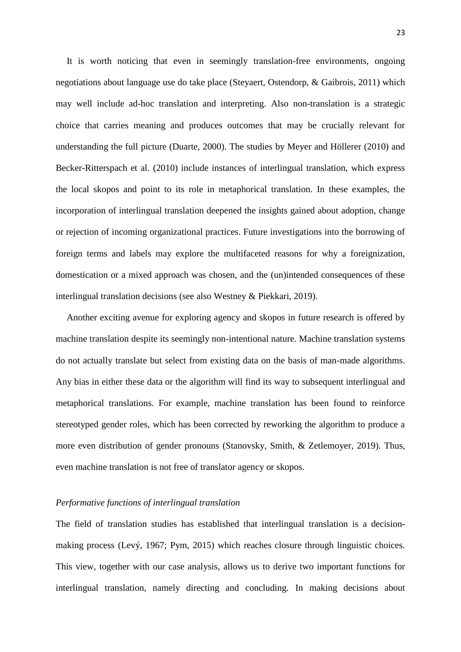It is worth noticing that even in seemingly translation-free environments, ongoing negotiations about language use do take place (Steyaert, Ostendorp, & Gaibrois, 2011) which may well include ad-hoc translation and interpreting. Also non-translation is a strategic choice that carries meaning and produces outcomes that may be crucially relevant for understanding the full picture (Duarte, 2000). The studies by Meyer and Höllerer (2010) and Becker-Ritterspach et al. (2010) include instances of interlingual translation, which express the local skopos and point to its role in metaphorical translation. In these examples, the incorporation of interlingual translation deepened the insights gained about adoption, change or rejection of incoming organizational practices. Future investigations into the borrowing of foreign terms and labels may explore the multifaceted reasons for why a foreignization, domestication or a mixed approach was chosen, and the (un)intended consequences of these interlingual translation decisions (see also Westney & Piekkari, 2019).

Another exciting avenue for exploring agency and skopos in future research is offered by machine translation despite its seemingly non-intentional nature. Machine translation systems do not actually translate but select from existing data on the basis of man-made algorithms. Any bias in either these data or the algorithm will find its way to subsequent interlingual and metaphorical translations. For example, machine translation has been found to reinforce stereotyped gender roles, which has been corrected by reworking the algorithm to produce a more even distribution of gender pronouns (Stanovsky, Smith, & Zetlemoyer, 2019). Thus, even machine translation is not free of translator agency or skopos.

#### *Performative functions of interlingual translation*

The field of translation studies has established that interlingual translation is a decisionmaking process (Levý, 1967; Pym, 2015) which reaches closure through linguistic choices. This view, together with our case analysis, allows us to derive two important functions for interlingual translation, namely directing and concluding. In making decisions about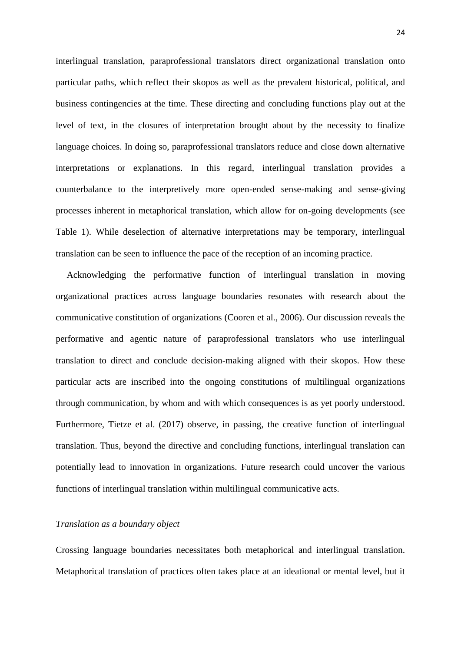interlingual translation, paraprofessional translators direct organizational translation onto particular paths, which reflect their skopos as well as the prevalent historical, political, and business contingencies at the time. These directing and concluding functions play out at the level of text, in the closures of interpretation brought about by the necessity to finalize language choices. In doing so, paraprofessional translators reduce and close down alternative interpretations or explanations. In this regard, interlingual translation provides a counterbalance to the interpretively more open-ended sense-making and sense-giving processes inherent in metaphorical translation, which allow for on-going developments (see Table 1). While deselection of alternative interpretations may be temporary, interlingual translation can be seen to influence the pace of the reception of an incoming practice.

Acknowledging the performative function of interlingual translation in moving organizational practices across language boundaries resonates with research about the communicative constitution of organizations (Cooren et al., 2006). Our discussion reveals the performative and agentic nature of paraprofessional translators who use interlingual translation to direct and conclude decision-making aligned with their skopos. How these particular acts are inscribed into the ongoing constitutions of multilingual organizations through communication, by whom and with which consequences is as yet poorly understood. Furthermore, Tietze et al. (2017) observe, in passing, the creative function of interlingual translation. Thus, beyond the directive and concluding functions, interlingual translation can potentially lead to innovation in organizations. Future research could uncover the various functions of interlingual translation within multilingual communicative acts.

## *Translation as a boundary object*

Crossing language boundaries necessitates both metaphorical and interlingual translation. Metaphorical translation of practices often takes place at an ideational or mental level, but it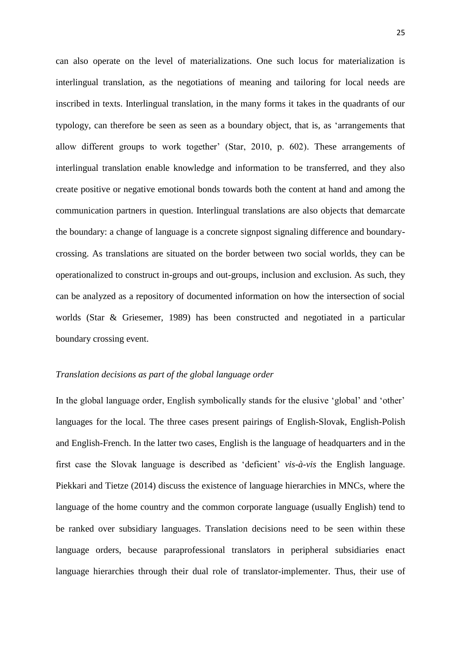can also operate on the level of materializations. One such locus for materialization is interlingual translation, as the negotiations of meaning and tailoring for local needs are inscribed in texts. Interlingual translation, in the many forms it takes in the quadrants of our typology, can therefore be seen as seen as a boundary object, that is, as 'arrangements that allow different groups to work together' (Star, 2010, p. 602). These arrangements of interlingual translation enable knowledge and information to be transferred, and they also create positive or negative emotional bonds towards both the content at hand and among the communication partners in question. Interlingual translations are also objects that demarcate the boundary: a change of language is a concrete signpost signaling difference and boundarycrossing. As translations are situated on the border between two social worlds, they can be operationalized to construct in-groups and out-groups, inclusion and exclusion. As such, they can be analyzed as a repository of documented information on how the intersection of social worlds (Star & Griesemer, 1989) has been constructed and negotiated in a particular boundary crossing event.

## *Translation decisions as part of the global language order*

In the global language order, English symbolically stands for the elusive 'global' and 'other' languages for the local. The three cases present pairings of English-Slovak, English-Polish and English-French. In the latter two cases, English is the language of headquarters and in the first case the Slovak language is described as 'deficient' *vis-à-vis* the English language. Piekkari and Tietze (2014) discuss the existence of language hierarchies in MNCs, where the language of the home country and the common corporate language (usually English) tend to be ranked over subsidiary languages. Translation decisions need to be seen within these language orders, because paraprofessional translators in peripheral subsidiaries enact language hierarchies through their dual role of translator-implementer. Thus, their use of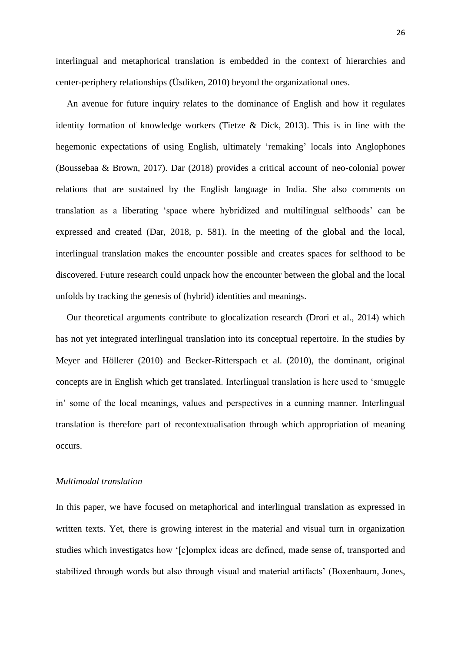interlingual and metaphorical translation is embedded in the context of hierarchies and center-periphery relationships (Üsdiken, 2010) beyond the organizational ones.

An avenue for future inquiry relates to the dominance of English and how it regulates identity formation of knowledge workers (Tietze & Dick, 2013). This is in line with the hegemonic expectations of using English, ultimately 'remaking' locals into Anglophones (Boussebaa & Brown, 2017). Dar (2018) provides a critical account of neo-colonial power relations that are sustained by the English language in India. She also comments on translation as a liberating 'space where hybridized and multilingual selfhoods' can be expressed and created (Dar, 2018, p. 581). In the meeting of the global and the local, interlingual translation makes the encounter possible and creates spaces for selfhood to be discovered. Future research could unpack how the encounter between the global and the local unfolds by tracking the genesis of (hybrid) identities and meanings.

Our theoretical arguments contribute to glocalization research (Drori et al., 2014) which has not yet integrated interlingual translation into its conceptual repertoire. In the studies by Meyer and Höllerer (2010) and Becker-Ritterspach et al. (2010), the dominant, original concepts are in English which get translated. Interlingual translation is here used to 'smuggle in' some of the local meanings, values and perspectives in a cunning manner. Interlingual translation is therefore part of recontextualisation through which appropriation of meaning occurs.

## *Multimodal translation*

In this paper, we have focused on metaphorical and interlingual translation as expressed in written texts. Yet, there is growing interest in the material and visual turn in organization studies which investigates how '[c]omplex ideas are defined, made sense of, transported and stabilized through words but also through visual and material artifacts' (Boxenbaum, Jones,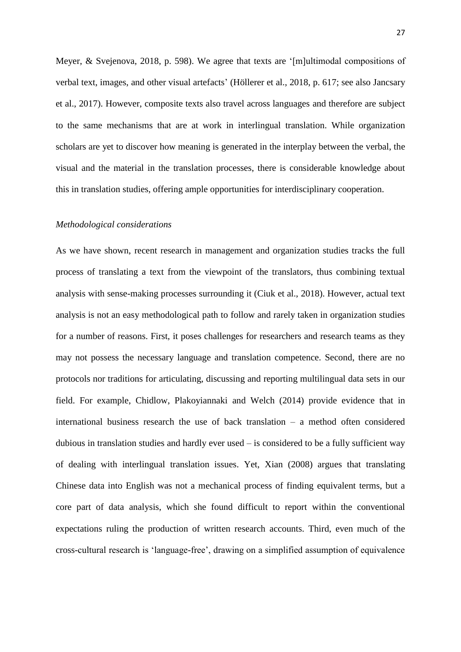Meyer, & Svejenova, 2018, p. 598). We agree that texts are '[m]ultimodal compositions of verbal text, images, and other visual artefacts' (Höllerer et al., 2018, p. 617; see also Jancsary et al., 2017). However, composite texts also travel across languages and therefore are subject to the same mechanisms that are at work in interlingual translation. While organization scholars are yet to discover how meaning is generated in the interplay between the verbal, the visual and the material in the translation processes, there is considerable knowledge about this in translation studies, offering ample opportunities for interdisciplinary cooperation.

### *Methodological considerations*

As we have shown, recent research in management and organization studies tracks the full process of translating a text from the viewpoint of the translators, thus combining textual analysis with sense-making processes surrounding it (Ciuk et al., 2018). However, actual text analysis is not an easy methodological path to follow and rarely taken in organization studies for a number of reasons. First, it poses challenges for researchers and research teams as they may not possess the necessary language and translation competence. Second, there are no protocols nor traditions for articulating, discussing and reporting multilingual data sets in our field. For example, Chidlow, Plakoyiannaki and Welch (2014) provide evidence that in international business research the use of back translation – a method often considered dubious in translation studies and hardly ever used – is considered to be a fully sufficient way of dealing with interlingual translation issues. Yet, Xian (2008) argues that translating Chinese data into English was not a mechanical process of finding equivalent terms, but a core part of data analysis, which she found difficult to report within the conventional expectations ruling the production of written research accounts. Third, even much of the cross-cultural research is 'language-free', drawing on a simplified assumption of equivalence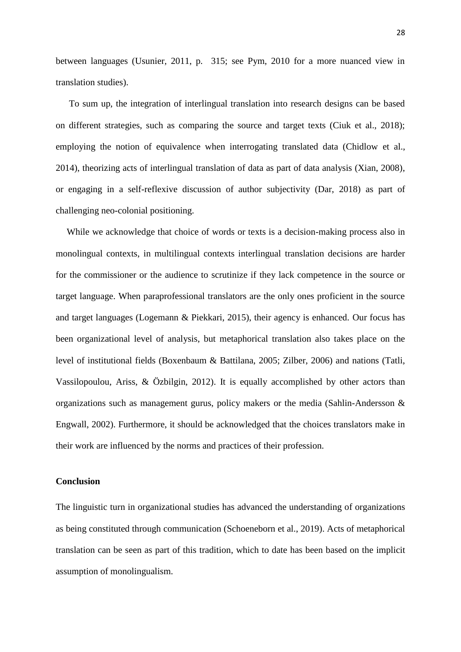between languages (Usunier, 2011, p. 315; see Pym, 2010 for a more nuanced view in translation studies).

To sum up, the integration of interlingual translation into research designs can be based on different strategies, such as comparing the source and target texts (Ciuk et al., 2018); employing the notion of equivalence when interrogating translated data (Chidlow et al., 2014), theorizing acts of interlingual translation of data as part of data analysis (Xian, 2008), or engaging in a self-reflexive discussion of author subjectivity (Dar, 2018) as part of challenging neo-colonial positioning.

While we acknowledge that choice of words or texts is a decision-making process also in monolingual contexts, in multilingual contexts interlingual translation decisions are harder for the commissioner or the audience to scrutinize if they lack competence in the source or target language. When paraprofessional translators are the only ones proficient in the source and target languages (Logemann & Piekkari, 2015), their agency is enhanced. Our focus has been organizational level of analysis, but metaphorical translation also takes place on the level of institutional fields (Boxenbaum & Battilana, 2005; Zilber, 2006) and nations (Tatli, Vassilopoulou, Ariss, & Özbilgin, 2012). It is equally accomplished by other actors than organizations such as management gurus, policy makers or the media (Sahlin-Andersson & Engwall, 2002). Furthermore, it should be acknowledged that the choices translators make in their work are influenced by the norms and practices of their profession.

## **Conclusion**

The linguistic turn in organizational studies has advanced the understanding of organizations as being constituted through communication (Schoeneborn et al., 2019). Acts of metaphorical translation can be seen as part of this tradition, which to date has been based on the implicit assumption of monolingualism.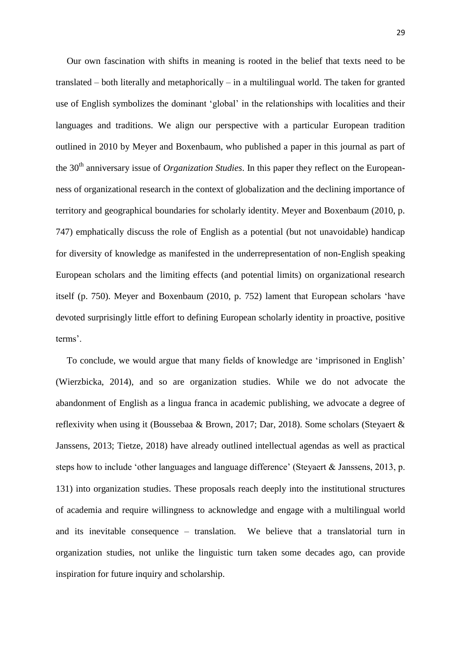Our own fascination with shifts in meaning is rooted in the belief that texts need to be translated – both literally and metaphorically – in a multilingual world. The taken for granted use of English symbolizes the dominant 'global' in the relationships with localities and their languages and traditions. We align our perspective with a particular European tradition outlined in 2010 by Meyer and Boxenbaum, who published a paper in this journal as part of the 30<sup>th</sup> anniversary issue of *Organization Studies*. In this paper they reflect on the Europeanness of organizational research in the context of globalization and the declining importance of territory and geographical boundaries for scholarly identity. Meyer and Boxenbaum (2010, p. 747) emphatically discuss the role of English as a potential (but not unavoidable) handicap for diversity of knowledge as manifested in the underrepresentation of non-English speaking European scholars and the limiting effects (and potential limits) on organizational research itself (p. 750). Meyer and Boxenbaum (2010, p. 752) lament that European scholars 'have devoted surprisingly little effort to defining European scholarly identity in proactive, positive terms'.

To conclude, we would argue that many fields of knowledge are 'imprisoned in English' (Wierzbicka, 2014), and so are organization studies. While we do not advocate the abandonment of English as a lingua franca in academic publishing, we advocate a degree of reflexivity when using it (Boussebaa & Brown, 2017; Dar, 2018). Some scholars (Steyaert & Janssens, 2013; Tietze, 2018) have already outlined intellectual agendas as well as practical steps how to include 'other languages and language difference' (Steyaert & Janssens, 2013, p. 131) into organization studies. These proposals reach deeply into the institutional structures of academia and require willingness to acknowledge and engage with a multilingual world and its inevitable consequence – translation. We believe that a translatorial turn in organization studies, not unlike the linguistic turn taken some decades ago, can provide inspiration for future inquiry and scholarship.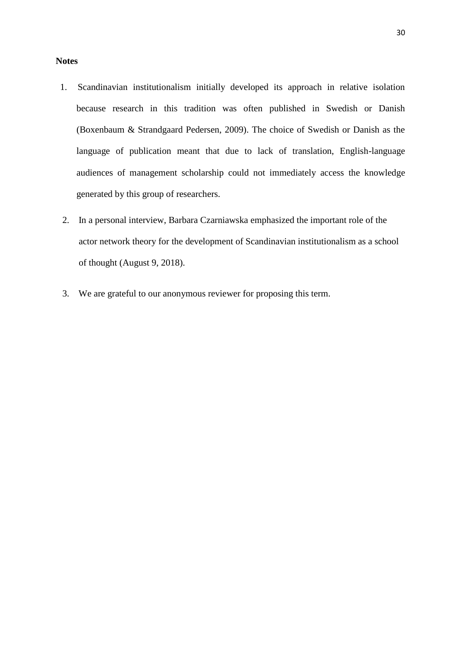#### **Notes**

- 1. Scandinavian institutionalism initially developed its approach in relative isolation because research in this tradition was often published in Swedish or Danish (Boxenbaum & Strandgaard Pedersen, 2009). The choice of Swedish or Danish as the language of publication meant that due to lack of translation, English-language audiences of management scholarship could not immediately access the knowledge generated by this group of researchers.
- 2. In a personal interview, Barbara Czarniawska emphasized the important role of the actor network theory for the development of Scandinavian institutionalism as a school of thought (August 9, 2018).
- 3. We are grateful to our anonymous reviewer for proposing this term.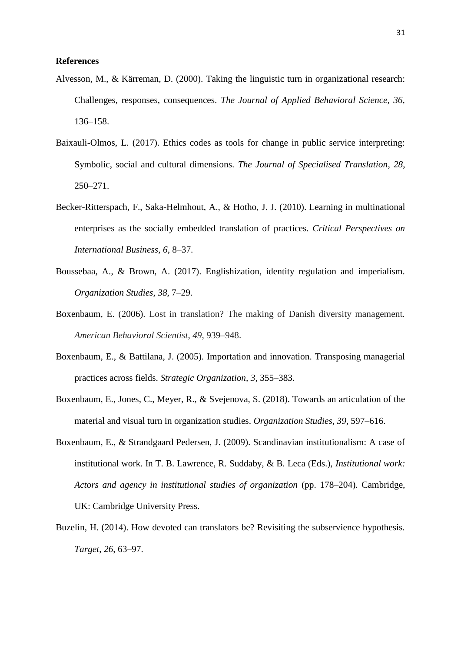## **References**

- Alvesson, M., & Kärreman, D. (2000). Taking the linguistic turn in organizational research: Challenges, responses, consequences. *The Journal of Applied Behavioral Science, 36,*  136–158.
- Baixauli-Olmos, L. (2017). Ethics codes as tools for change in public service interpreting: Symbolic, social and cultural dimensions. *The Journal of Specialised Translation*, *28*, 250–271.
- Becker-Ritterspach, F., Saka-Helmhout, A., & Hotho, J. J. (2010). Learning in multinational enterprises as the socially embedded translation of practices. *Critical Perspectives on International Business, 6*, 8–37.
- Boussebaa, A., & Brown, A. (2017). Englishization, identity regulation and imperialism. *Organization Studies*, *38*, 7–29.
- Boxenbaum, E. (2006). Lost in translation? The making of Danish diversity management. *American Behavioral Scientist*, *49*, 939–948.
- Boxenbaum, E., & Battilana, J. (2005). Importation and innovation. Transposing managerial practices across fields. *Strategic Organization, 3*, 355–383.
- Boxenbaum, E., Jones, C., Meyer, R., & Svejenova, S. (2018). Towards an articulation of the material and visual turn in organization studies. *Organization Studies*, *39*, 597–616.
- Boxenbaum, E., & Strandgaard Pedersen, J. (2009). Scandinavian institutionalism: A case of institutional work. In T. B. Lawrence, R. Suddaby, & B. Leca (Eds.), *Institutional work: Actors and agency in institutional studies of organization* (pp. 178–204)*.* Cambridge, UK: Cambridge University Press.
- Buzelin, H. (2014). How devoted can translators be? Revisiting the subservience hypothesis. *Target*, *26*, 63–97.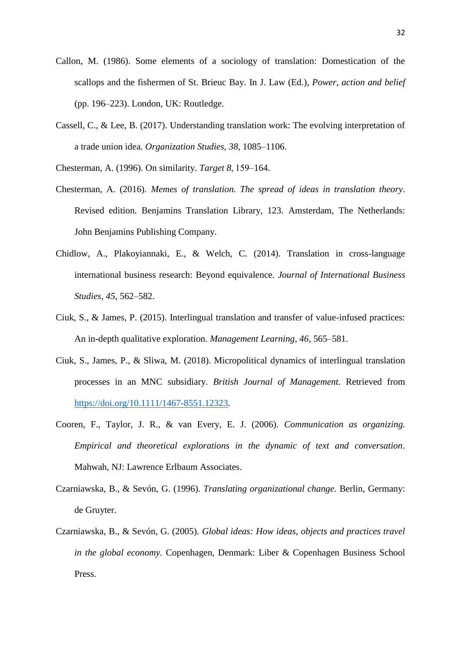- Callon, M. (1986). Some elements of a sociology of translation: Domestication of the scallops and the fishermen of St. Brieuc Bay. In J. Law (Ed.), *Power, action and belief* (pp. 196–223). London, UK: Routledge.
- Cassell, C., & Lee, B. (2017). Understanding translation work: The evolving interpretation of a trade union idea. *Organization Studies*, *38*, 1085–1106.
- Chesterman, A. (1996). On similarity. *Target 8*, 159–164.
- Chesterman, A. (2016). *Memes of translation. The spread of ideas in translation theory*. Revised edition. Benjamins Translation Library, 123. Amsterdam, The Netherlands: John Benjamins Publishing Company.
- Chidlow, A., Plakoyiannaki, E., & Welch, C. (2014). Translation in cross-language international business research: Beyond equivalence. *Journal of International Business Studies, 45*, 562–582.
- Ciuk, S., & James, P. (2015). Interlingual translation and transfer of value-infused practices: An in-depth qualitative exploration. *Management Learning, 46*, 565–581.
- Ciuk, S., James, P., & Sliwa, M. (2018). Micropolitical dynamics of interlingual translation processes in an MNC subsidiary. *British Journal of Management.* Retrieved from [https://doi.org/10.1111/1467-8551.12323.](https://doi.org/10.1111/1467-8551.12323)
- Cooren, F., Taylor, J. R., & van Every, E. J. (2006). *Communication as organizing. Empirical and theoretical explorations in the dynamic of text and conversation*. Mahwah, NJ: Lawrence Erlbaum Associates.
- Czarniawska, B., & Sevón, G. (1996). *Translating organizational change.* Berlin, Germany: de Gruyter.
- Czarniawska, B., & Sevón, G. (2005). *Global ideas: How ideas, objects and practices travel in the global economy.* Copenhagen, Denmark: Liber & Copenhagen Business School Press.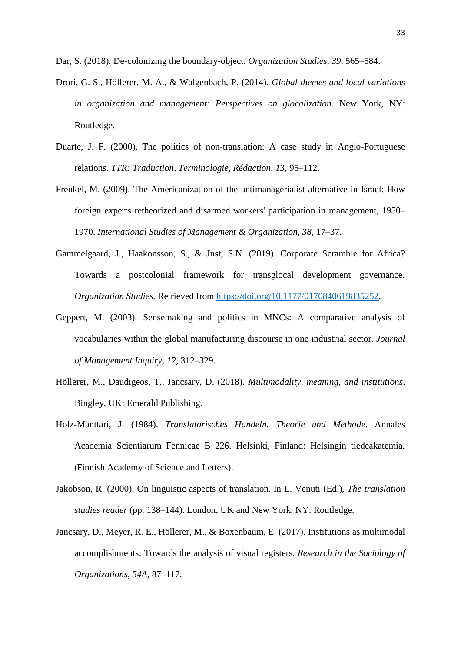Dar, S. (2018). De-colonizing the boundary-object. *Organization Studies*, *39*, 565–584.

- Drori, G. S., Höllerer, M. A., & Walgenbach, P. (2014). *Global themes and local variations in organization and management: Perspectives on glocalization*. New York, NY: Routledge.
- Duarte, J. F. (2000). The politics of non-translation: A case study in Anglo-Portuguese relations. *TTR: Traduction, Terminologie, Rédaction, 13*, 95–112.
- Frenkel, M. (2009). The Americanization of the antimanagerialist alternative in Israel: How foreign experts retheorized and disarmed workers' participation in management, 1950– 1970. *International Studies of Management & Organization, 38,* 17–37.
- Gammelgaard, J., Haakonsson, S., & Just, S.N. (2019). Corporate Scramble for Africa? Towards a postcolonial framework for transglocal development governance. *Organization Studies.* Retrieved from [https://doi.org/10.1177/0170840619835252,](https://doi.org/10.1177/0170840619835252)
- Geppert, M. (2003). Sensemaking and politics in MNCs: A comparative analysis of vocabularies within the global manufacturing discourse in one industrial sector. *Journal of Management Inquiry, 12,* 312–329.
- Höllerer, M., Daudigeos, T., Jancsary, D. (2018). *Multimodality, meaning, and institutions*. Bingley, UK: Emerald Publishing.
- Holz-Mänttäri, J. (1984). *Translatorisches Handeln. Theorie und Methode*. Annales Academia Scientiarum Fennicae B 226. Helsinki, Finland: Helsingin tiedeakatemia. (Finnish Academy of Science and Letters).
- Jakobson, R. (2000). On linguistic aspects of translation. In L. Venuti (Ed.), *The translation studies reader* (pp. 138–144). London, UK and New York, NY: Routledge.
- Jancsary, D., Meyer, R. E., Höllerer, M., & Boxenbaum, E. (2017). Institutions as multimodal accomplishments: Towards the analysis of visual registers. *Research in the Sociology of Organizations*, *54A*, 87–117.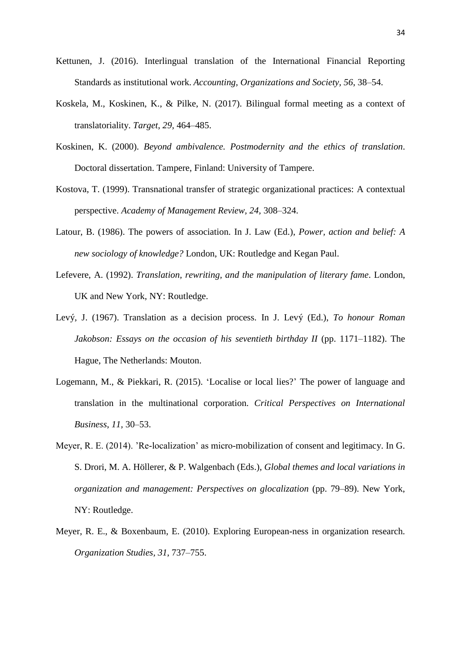- Kettunen, J. (2016). Interlingual translation of the International Financial Reporting Standards as institutional work. *Accounting, Organizations and Society, 56*, 38–54.
- Koskela, M., Koskinen, K., & Pilke, N. (2017). Bilingual formal meeting as a context of translatoriality. *Target*, *29,* 464–485.
- Koskinen, K. (2000). *Beyond ambivalence. Postmodernity and the ethics of translation*. Doctoral dissertation. Tampere, Finland: University of Tampere.
- Kostova, T. (1999). Transnational transfer of strategic organizational practices: A contextual perspective. *Academy of Management Review, 24,* 308–324.
- Latour, B. (1986). The powers of association. In J. Law (Ed.), *Power, action and belief: A new sociology of knowledge?* London, UK: Routledge and Kegan Paul.
- Lefevere, A. (1992). *Translation, rewriting, and the manipulation of literary fame*. London, UK and New York, NY: Routledge.
- Levý, J. (1967). Translation as a decision process. In J. Levý (Ed.), *To honour Roman Jakobson: Essays on the occasion of his seventieth birthday II* (pp. 1171–1182). The Hague, The Netherlands: Mouton.
- Logemann, M., & Piekkari, R. (2015). 'Localise or local lies?' The power of language and translation in the multinational corporation. *Critical Perspectives on International Business*, *11,* 30–53.
- Meyer, R. E. (2014). 'Re-localization' as micro-mobilization of consent and legitimacy. In G. S. Drori, M. A. Höllerer, & P. Walgenbach (Eds.), *Global themes and local variations in organization and management: Perspectives on glocalization* (pp. 79–89). New York, NY: Routledge.
- Meyer, R. E., & Boxenbaum, E. (2010). Exploring European-ness in organization research. *Organization Studies, 31*, 737–755.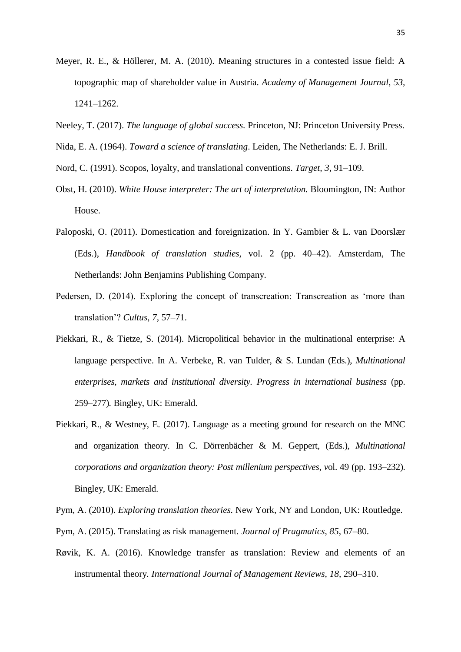- Meyer, R. E., & Höllerer, M. A. (2010). Meaning structures in a contested issue field: A topographic map of shareholder value in Austria. *Academy of Management Journal, 53,*  1241–1262.
- Neeley, T. (2017). *The language of global success.* Princeton, NJ: Princeton University Press.
- Nida, E. A. (1964). *Toward a science of translating*. Leiden, The Netherlands: E. J. Brill.
- Nord, C. (1991). Scopos, loyalty, and translational conventions. *Target, 3,* 91–109.
- Obst, H. (2010). *White House interpreter: The art of interpretation.* Bloomington, IN: Author House.
- Paloposki, O. (2011). Domestication and foreignization. In Y. Gambier & L. van Doorslær (Eds.), *Handbook of translation studies,* vol. 2 (pp. 40–42). Amsterdam, The Netherlands: John Benjamins Publishing Company.
- Pedersen, D. (2014). Exploring the concept of transcreation: Transcreation as 'more than translation'? *Cultus, 7,* 57–71.
- Piekkari, R., & Tietze, S. (2014). Micropolitical behavior in the multinational enterprise: A language perspective. In A. Verbeke, R. van Tulder, & S. Lundan (Eds.), *Multinational enterprises, markets and institutional diversity. Progress in international business* (pp. 259–277)*.* Bingley, UK: Emerald.
- Piekkari, R., & Westney, E. (2017). Language as a meeting ground for research on the MNC and organization theory. In C. Dörrenbächer & M. Geppert, (Eds.), *Multinational corporations and organization theory: Post millenium perspectives, v*ol. 49 (pp. 193–232). Bingley, UK: Emerald.
- Pym, A. (2010). *Exploring translation theories.* New York, NY and London, UK: Routledge.
- Pym, A. (2015). Translating as risk management. *Journal of Pragmatics, 85*, 67–80.
- Røvik, K. A. (2016). Knowledge transfer as translation: Review and elements of an instrumental theory*. International Journal of Management Reviews, 18,* 290–310.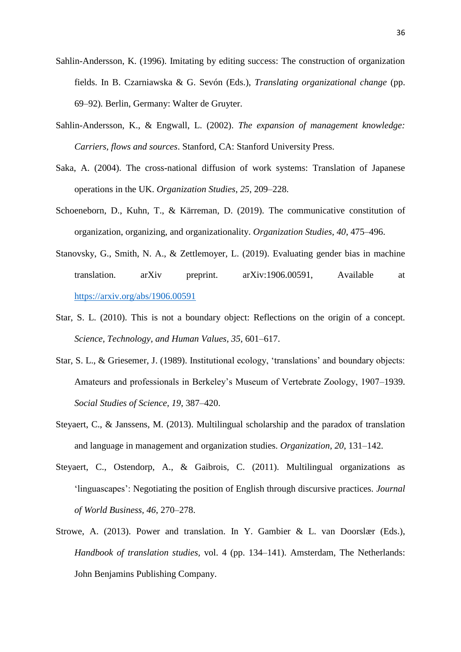- Sahlin-Andersson, K. (1996). Imitating by editing success: The construction of organization fields. In B. Czarniawska & G. Sevón (Eds.), *Translating organizational change* (pp. 69–92)*.* Berlin, Germany: Walter de Gruyter.
- Sahlin-Andersson, K., & Engwall, L. (2002). *The expansion of management knowledge: Carriers, flows and sources*. Stanford, CA: Stanford University Press.
- Saka, A. (2004). The cross-national diffusion of work systems: Translation of Japanese operations in the UK. *Organization Studies*, *25*, 209–228.
- Schoeneborn, D., Kuhn, T., & Kärreman, D. (2019). The communicative constitution of organization, organizing, and organizationality. *Organization Studies, 40*, 475–496.
- Stanovsky, G., Smith, N. A., & Zettlemoyer, L. (2019). Evaluating gender bias in machine translation. arXiv preprint. arXiv:1906.00591, Available at <https://arxiv.org/abs/1906.00591>
- Star, S. L. (2010). This is not a boundary object: Reflections on the origin of a concept. *Science, Technology, and Human Values, 35*, 601–617.
- Star, S. L., & Griesemer, J. (1989). Institutional ecology, 'translations' and boundary objects: Amateurs and professionals in Berkeley's Museum of Vertebrate Zoology, 1907–1939. *Social Studies of Science, 19*, 387–420.
- Steyaert, C., & Janssens, M. (2013). Multilingual scholarship and the paradox of translation and language in management and organization studies. *Organization*, *20*, 131–142.
- Steyaert, C., Ostendorp, A., & Gaibrois, C. (2011). Multilingual organizations as 'linguascapes': Negotiating the position of English through discursive practices. *Journal of World Business, 46*, 270–278.
- Strowe, A. (2013). Power and translation. In Y. Gambier & L. van Doorslær (Eds.), *Handbook of translation studies,* vol. 4 (pp. 134–141). Amsterdam, The Netherlands: John Benjamins Publishing Company.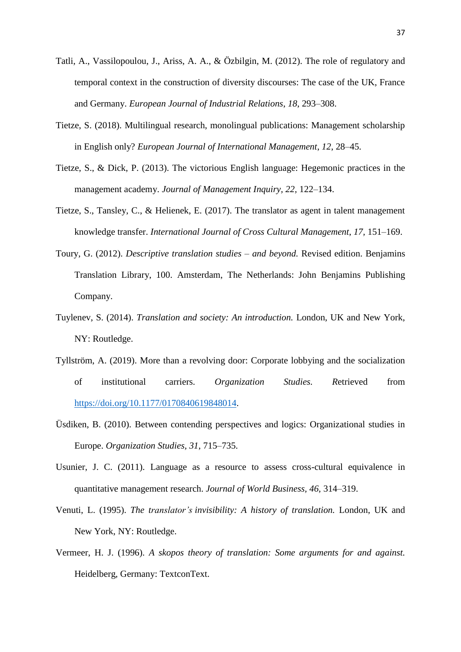- Tatli, A., Vassilopoulou, J., Ariss, A. A., & Özbilgin, M. (2012). The role of regulatory and temporal context in the construction of diversity discourses: The case of the UK, France and Germany. *European Journal of Industrial Relations*, *18*, 293–308.
- Tietze, S. (2018). Multilingual research, monolingual publications: Management scholarship in English only? *European Journal of International Management*, *12*, 28–45.
- Tietze, S., & Dick, P. (2013). The victorious English language: Hegemonic practices in the management academy. *Journal of Management Inquiry, 22,* 122–134.
- Tietze, S., Tansley, C., & Helienek, E. (2017). The translator as agent in talent management knowledge transfer. *International Journal of Cross Cultural Management*, *17,* 151–169.
- Toury, G. (2012). *Descriptive translation studies – and beyond.* Revised edition. Benjamins Translation Library, 100. Amsterdam, The Netherlands: John Benjamins Publishing Company.
- Tuylenev, S. (2014). *Translation and society: An introduction.* London, UK and New York, NY: Routledge.
- Tyllström, A. (2019). More than a revolving door: Corporate lobbying and the socialization of institutional carriers. *Organization Studies. R*etrieved from [https://doi.org/10.1177/0170840619848014.](https://doi.org/10.1177%2F0170840619848014)
- Üsdiken, B. (2010). Between contending perspectives and logics: Organizational studies in Europe. *Organization Studies, 31*, 715–735.
- Usunier, J. C. (2011). Language as a resource to assess cross-cultural equivalence in quantitative management research. *Journal of World Business, 46,* 314–319.
- Venuti, L. (1995). *The translator's invisibility: A history of translation.* London, UK and New York, NY: Routledge.
- Vermeer, H. J. (1996). *A skopos theory of translation: Some arguments for and against.* Heidelberg, Germany: TextconText.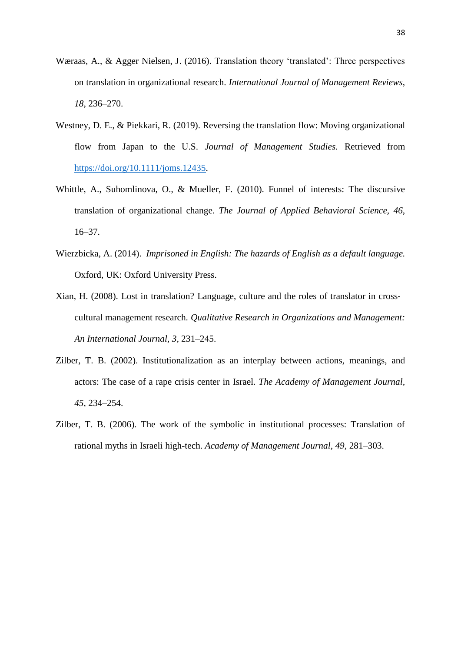- Wæraas, A., & Agger Nielsen, J. (2016). Translation theory 'translated': Three perspectives on translation in organizational research. *International Journal of Management Reviews*, *18*, 236–270.
- Westney, D. E., & Piekkari, R. (2019). Reversing the translation flow: Moving organizational flow from Japan to the U.S. *Journal of Management Studies.* Retrieved from [https://doi.org/10.1111/joms.12435.](https://doi.org/10.1111/joms.12435)
- Whittle, A., Suhomlinova, O., & Mueller, F. (2010). Funnel of interests: The discursive translation of organizational change. *The Journal of Applied Behavioral Science, 46*, 16–37.
- Wierzbicka, A. (2014). *Imprisoned in English: The hazards of English as a default language.* Oxford, UK: Oxford University Press.
- Xian, H. (2008). Lost in translation? Language, culture and the roles of translator in cross‐ cultural management research. *Qualitative Research in Organizations and Management: An International Journal, 3,* 231–245.
- Zilber, T. B. (2002). Institutionalization as an interplay between actions, meanings, and actors: The case of a rape crisis center in Israel. *The Academy of Management Journal, 45,* 234–254.
- Zilber, T. B. (2006). The work of the symbolic in institutional processes: Translation of rational myths in Israeli high-tech. *Academy of Management Journal*, *49*, 281–303.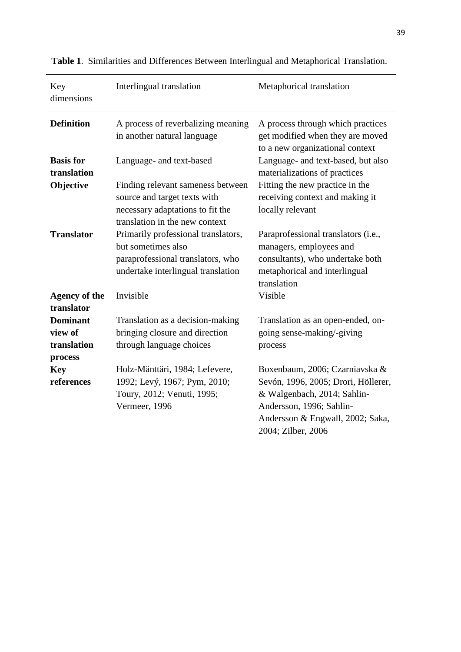| Key<br>dimensions                  | Interlingual translation                                                                                                                | Metaphorical translation                                                                                                                                 |
|------------------------------------|-----------------------------------------------------------------------------------------------------------------------------------------|----------------------------------------------------------------------------------------------------------------------------------------------------------|
| <b>Definition</b>                  | A process of reverbalizing meaning<br>in another natural language                                                                       | A process through which practices<br>get modified when they are moved<br>to a new organizational context                                                 |
| <b>Basis</b> for<br>translation    | Language- and text-based                                                                                                                | Language- and text-based, but also<br>materializations of practices                                                                                      |
| Objective                          | Finding relevant sameness between<br>source and target texts with<br>necessary adaptations to fit the<br>translation in the new context | Fitting the new practice in the<br>receiving context and making it<br>locally relevant                                                                   |
| <b>Translator</b>                  | Primarily professional translators,<br>but sometimes also<br>paraprofessional translators, who<br>undertake interlingual translation    | Paraprofessional translators (i.e.,<br>managers, employees and<br>consultants), who undertake both<br>metaphorical and interlingual<br>translation       |
| <b>Agency of the</b><br>translator | Invisible                                                                                                                               | Visible                                                                                                                                                  |
| <b>Dominant</b>                    | Translation as a decision-making                                                                                                        | Translation as an open-ended, on-                                                                                                                        |
| view of                            | bringing closure and direction                                                                                                          | going sense-making/-giving                                                                                                                               |
| translation                        | through language choices                                                                                                                | process                                                                                                                                                  |
| process                            |                                                                                                                                         |                                                                                                                                                          |
| <b>Key</b>                         | Holz-Mänttäri, 1984; Lefevere,                                                                                                          | Boxenbaum, 2006; Czarniavska &                                                                                                                           |
| references                         | 1992; Levý, 1967; Pym, 2010;<br>Toury, 2012; Venuti, 1995;<br>Vermeer, 1996                                                             | Sevón, 1996, 2005; Drori, Höllerer,<br>& Walgenbach, 2014; Sahlin-<br>Andersson, 1996; Sahlin-<br>Andersson & Engwall, 2002; Saka,<br>2004; Zilber, 2006 |

**Table 1**. Similarities and Differences Between Interlingual and Metaphorical Translation.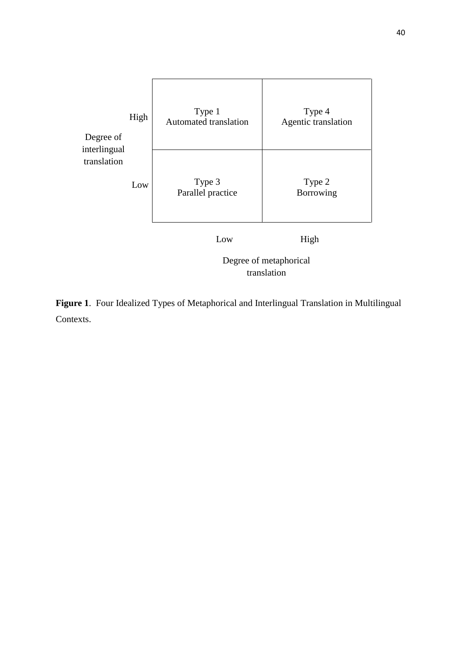

**Figure 1**. Four Idealized Types of Metaphorical and Interlingual Translation in Multilingual Contexts.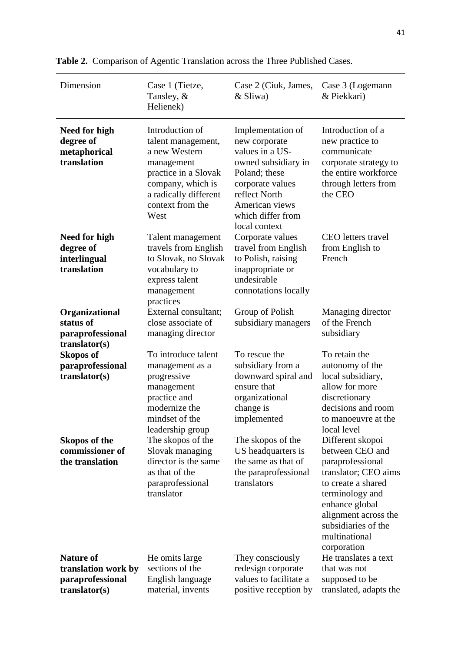| Dimension                                                                      | Case 1 (Tietze,<br>Tansley, &<br>Helienek)                                                                                                                             | Case 2 (Ciuk, James,<br>& Sliwa)                                                                                                                                                           | Case 3 (Logemann<br>& Piekkari)                                                                                                                                                                       |
|--------------------------------------------------------------------------------|------------------------------------------------------------------------------------------------------------------------------------------------------------------------|--------------------------------------------------------------------------------------------------------------------------------------------------------------------------------------------|-------------------------------------------------------------------------------------------------------------------------------------------------------------------------------------------------------|
| Need for high<br>degree of<br>metaphorical<br>translation                      | Introduction of<br>talent management,<br>a new Western<br>management<br>practice in a Slovak<br>company, which is<br>a radically different<br>context from the<br>West | Implementation of<br>new corporate<br>values in a US-<br>owned subsidiary in<br>Poland; these<br>corporate values<br>reflect North<br>American views<br>which differ from<br>local context | Introduction of a<br>new practice to<br>communicate<br>corporate strategy to<br>the entire workforce<br>through letters from<br>the CEO                                                               |
| Need for high<br>degree of<br>interlingual<br>translation                      | Talent management<br>travels from English<br>to Slovak, no Slovak<br>vocabulary to<br>express talent<br>management<br>practices                                        | Corporate values<br>travel from English<br>to Polish, raising<br>inappropriate or<br>undesirable<br>connotations locally                                                                   | <b>CEO</b> letters travel<br>from English to<br>French                                                                                                                                                |
| Organizational<br>status of<br>paraprofessional<br>translator(s)               | External consultant;<br>close associate of<br>managing director                                                                                                        | Group of Polish<br>subsidiary managers                                                                                                                                                     | Managing director<br>of the French<br>subsidiary                                                                                                                                                      |
| <b>Skopos of</b><br>paraprofessional<br>translation(s)<br><b>Skopos of the</b> | To introduce talent<br>management as a<br>progressive<br>management<br>practice and<br>modernize the<br>mindset of the<br>leadership group<br>The skopos of the        | To rescue the<br>subsidiary from a<br>downward spiral and<br>ensure that<br>organizational<br>change is<br>implemented<br>The skopos of the                                                | To retain the<br>autonomy of the<br>local subsidiary,<br>allow for more<br>discretionary<br>decisions and room<br>to manoeuvre at the<br>local level<br>Different skopoi                              |
| commissioner of<br>the translation                                             | Slovak managing<br>director is the same<br>as that of the<br>paraprofessional<br>translator                                                                            | US headquarters is<br>the same as that of<br>the paraprofessional<br>translators                                                                                                           | between CEO and<br>paraprofessional<br>translator; CEO aims<br>to create a shared<br>terminology and<br>enhance global<br>alignment across the<br>subsidiaries of the<br>multinational<br>corporation |
| <b>Nature of</b><br>translation work by<br>paraprofessional<br>translation(s)  | He omits large<br>sections of the<br>English language<br>material, invents                                                                                             | They consciously<br>redesign corporate<br>values to facilitate a<br>positive reception by                                                                                                  | He translates a text<br>that was not<br>supposed to be<br>translated, adapts the                                                                                                                      |

|  |  | Table 2. Comparison of Agentic Translation across the Three Published Cases. |  |
|--|--|------------------------------------------------------------------------------|--|
|  |  |                                                                              |  |